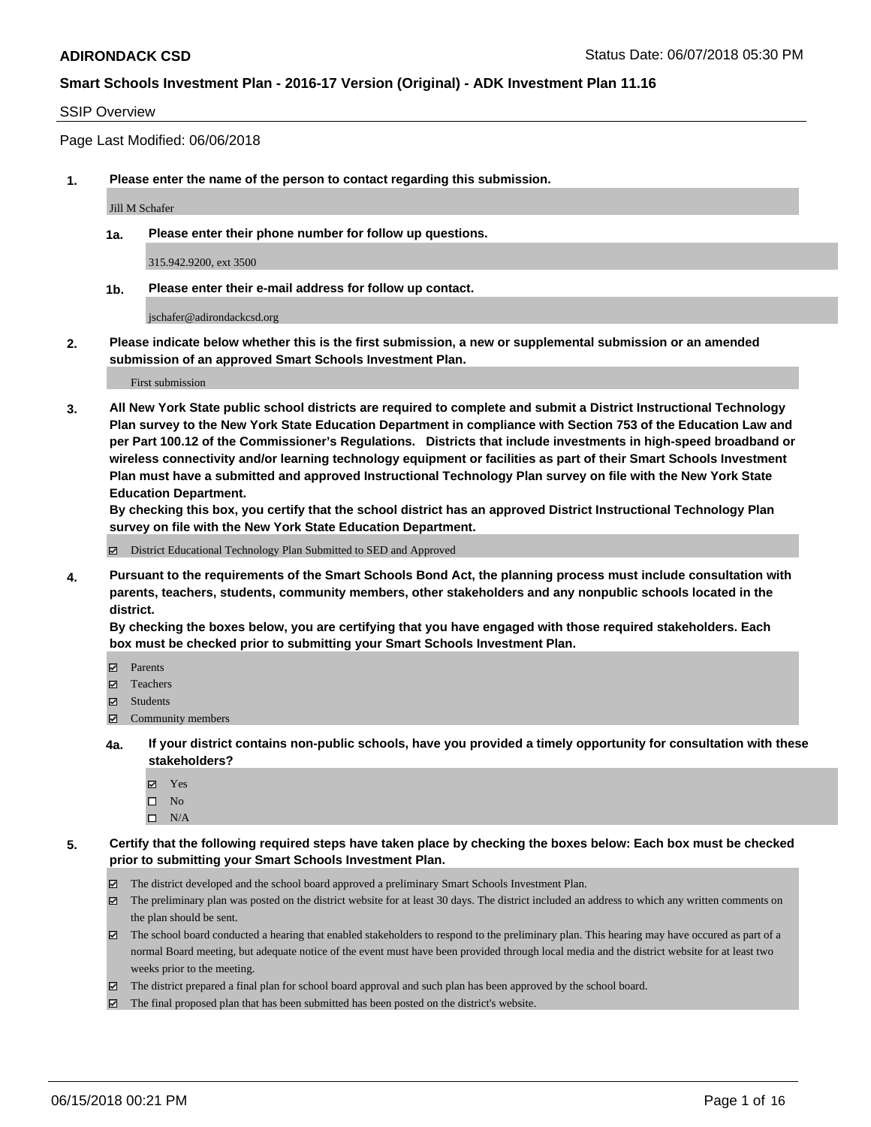#### SSIP Overview

Page Last Modified: 06/06/2018

**1. Please enter the name of the person to contact regarding this submission.**

Jill M Schafer

**1a. Please enter their phone number for follow up questions.**

315.942.9200, ext 3500

**1b. Please enter their e-mail address for follow up contact.**

jschafer@adirondackcsd.org

**2. Please indicate below whether this is the first submission, a new or supplemental submission or an amended submission of an approved Smart Schools Investment Plan.**

First submission

**3. All New York State public school districts are required to complete and submit a District Instructional Technology Plan survey to the New York State Education Department in compliance with Section 753 of the Education Law and per Part 100.12 of the Commissioner's Regulations. Districts that include investments in high-speed broadband or wireless connectivity and/or learning technology equipment or facilities as part of their Smart Schools Investment Plan must have a submitted and approved Instructional Technology Plan survey on file with the New York State Education Department.** 

**By checking this box, you certify that the school district has an approved District Instructional Technology Plan survey on file with the New York State Education Department.**

District Educational Technology Plan Submitted to SED and Approved

**4. Pursuant to the requirements of the Smart Schools Bond Act, the planning process must include consultation with parents, teachers, students, community members, other stakeholders and any nonpublic schools located in the district.** 

**By checking the boxes below, you are certifying that you have engaged with those required stakeholders. Each box must be checked prior to submitting your Smart Schools Investment Plan.**

- Parents
- Teachers
- Students
- $\Xi$  Community members
- **4a. If your district contains non-public schools, have you provided a timely opportunity for consultation with these stakeholders?**
	- Yes
	- $\square$  No
	- $\square$  N/A
- **5. Certify that the following required steps have taken place by checking the boxes below: Each box must be checked prior to submitting your Smart Schools Investment Plan.**
	- The district developed and the school board approved a preliminary Smart Schools Investment Plan.
	- $\boxtimes$  The preliminary plan was posted on the district website for at least 30 days. The district included an address to which any written comments on the plan should be sent.
	- $\boxtimes$  The school board conducted a hearing that enabled stakeholders to respond to the preliminary plan. This hearing may have occured as part of a normal Board meeting, but adequate notice of the event must have been provided through local media and the district website for at least two weeks prior to the meeting.
	- The district prepared a final plan for school board approval and such plan has been approved by the school board.
	- $\boxtimes$  The final proposed plan that has been submitted has been posted on the district's website.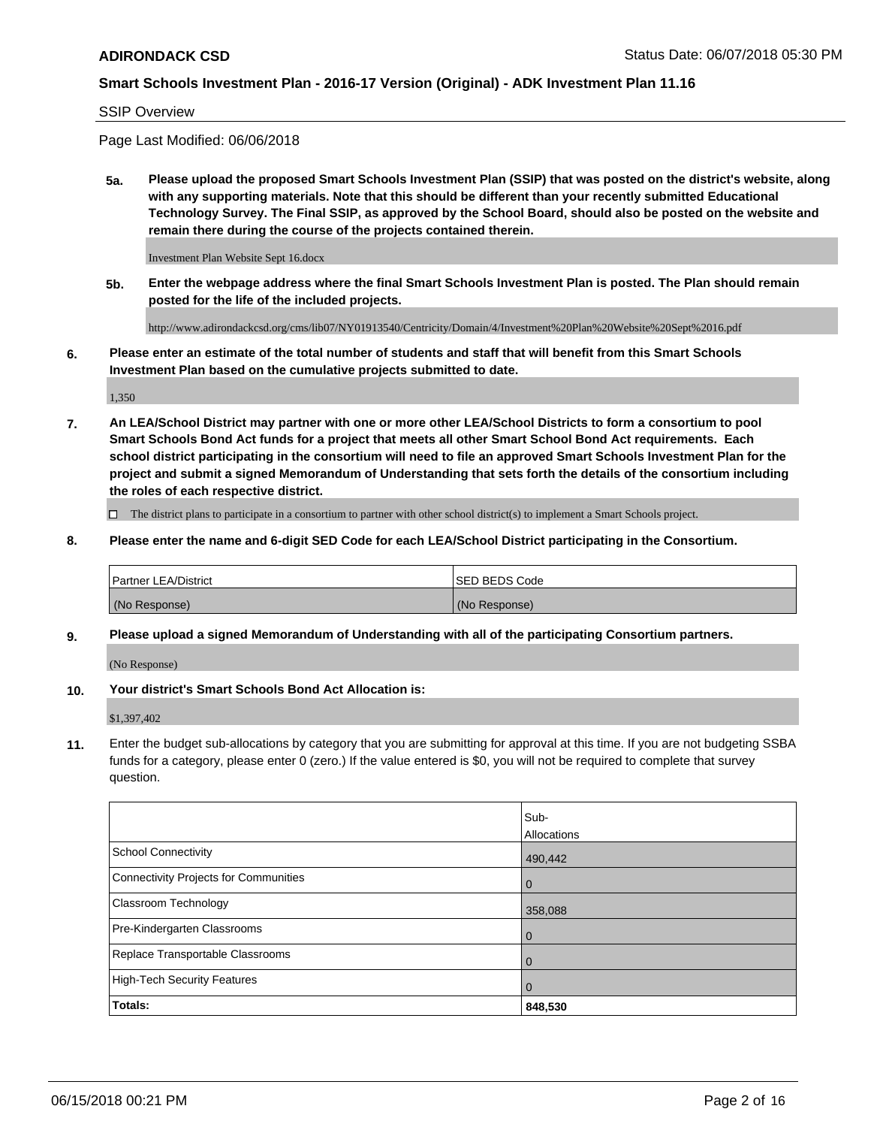#### SSIP Overview

Page Last Modified: 06/06/2018

**5a. Please upload the proposed Smart Schools Investment Plan (SSIP) that was posted on the district's website, along with any supporting materials. Note that this should be different than your recently submitted Educational Technology Survey. The Final SSIP, as approved by the School Board, should also be posted on the website and remain there during the course of the projects contained therein.**

Investment Plan Website Sept 16.docx

**5b. Enter the webpage address where the final Smart Schools Investment Plan is posted. The Plan should remain posted for the life of the included projects.**

http://www.adirondackcsd.org/cms/lib07/NY01913540/Centricity/Domain/4/Investment%20Plan%20Website%20Sept%2016.pdf

**6. Please enter an estimate of the total number of students and staff that will benefit from this Smart Schools Investment Plan based on the cumulative projects submitted to date.**

1,350

**7. An LEA/School District may partner with one or more other LEA/School Districts to form a consortium to pool Smart Schools Bond Act funds for a project that meets all other Smart School Bond Act requirements. Each school district participating in the consortium will need to file an approved Smart Schools Investment Plan for the project and submit a signed Memorandum of Understanding that sets forth the details of the consortium including the roles of each respective district.**

 $\Box$  The district plans to participate in a consortium to partner with other school district(s) to implement a Smart Schools project.

**8. Please enter the name and 6-digit SED Code for each LEA/School District participating in the Consortium.**

| <b>Partner LEA/District</b> | <b>ISED BEDS Code</b> |
|-----------------------------|-----------------------|
| (No Response)               | (No Response)         |

#### **9. Please upload a signed Memorandum of Understanding with all of the participating Consortium partners.**

(No Response)

**10. Your district's Smart Schools Bond Act Allocation is:**

\$1,397,402

**11.** Enter the budget sub-allocations by category that you are submitting for approval at this time. If you are not budgeting SSBA funds for a category, please enter 0 (zero.) If the value entered is \$0, you will not be required to complete that survey question.

|                                       | Sub-<br><b>Allocations</b> |
|---------------------------------------|----------------------------|
| School Connectivity                   | 490,442                    |
| Connectivity Projects for Communities | l 0                        |
| Classroom Technology                  | 358,088                    |
| Pre-Kindergarten Classrooms           | l 0                        |
| Replace Transportable Classrooms      | 0                          |
| High-Tech Security Features           | $\overline{0}$             |
| Totals:                               | 848,530                    |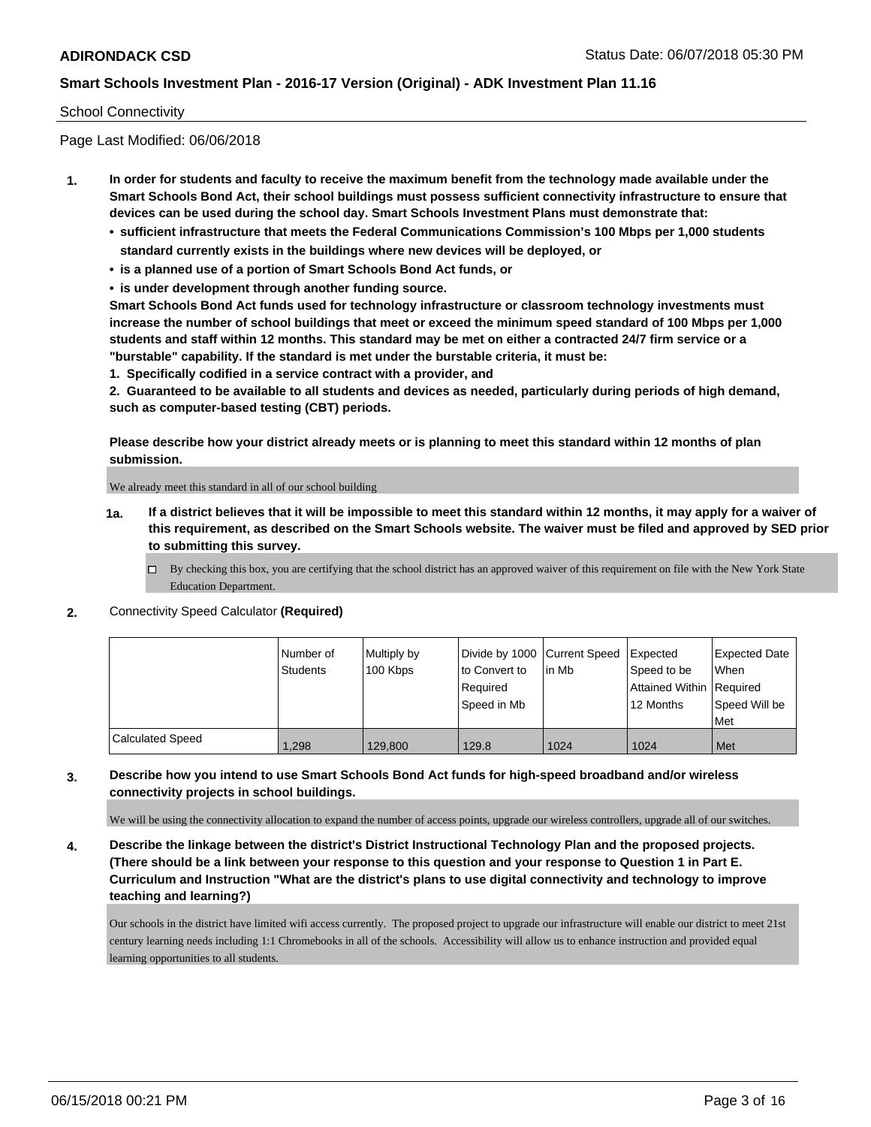#### School Connectivity

Page Last Modified: 06/06/2018

- **1. In order for students and faculty to receive the maximum benefit from the technology made available under the Smart Schools Bond Act, their school buildings must possess sufficient connectivity infrastructure to ensure that devices can be used during the school day. Smart Schools Investment Plans must demonstrate that:**
	- **• sufficient infrastructure that meets the Federal Communications Commission's 100 Mbps per 1,000 students standard currently exists in the buildings where new devices will be deployed, or**
	- **• is a planned use of a portion of Smart Schools Bond Act funds, or**
	- **• is under development through another funding source.**

**Smart Schools Bond Act funds used for technology infrastructure or classroom technology investments must increase the number of school buildings that meet or exceed the minimum speed standard of 100 Mbps per 1,000 students and staff within 12 months. This standard may be met on either a contracted 24/7 firm service or a "burstable" capability. If the standard is met under the burstable criteria, it must be:**

**1. Specifically codified in a service contract with a provider, and**

**2. Guaranteed to be available to all students and devices as needed, particularly during periods of high demand, such as computer-based testing (CBT) periods.**

**Please describe how your district already meets or is planning to meet this standard within 12 months of plan submission.**

We already meet this standard in all of our school building

- **1a. If a district believes that it will be impossible to meet this standard within 12 months, it may apply for a waiver of this requirement, as described on the Smart Schools website. The waiver must be filed and approved by SED prior to submitting this survey.**
	- By checking this box, you are certifying that the school district has an approved waiver of this requirement on file with the New York State Education Department.
- **2.** Connectivity Speed Calculator **(Required)**

|                         | Number of<br><b>Students</b> | Multiply by<br>100 Kbps | Divide by 1000 Current Speed<br>to Convert to<br>Required<br>Speed in Mb | l in Mb | <b>Expected</b><br>Speed to be<br>Attained Within Required<br>12 Months | <b>Expected Date</b><br><b>When</b><br>Speed Will be<br>Met |
|-------------------------|------------------------------|-------------------------|--------------------------------------------------------------------------|---------|-------------------------------------------------------------------------|-------------------------------------------------------------|
| <b>Calculated Speed</b> | 1,298                        | 129,800                 | 129.8                                                                    | 1024    | 1024                                                                    | Met                                                         |

### **3. Describe how you intend to use Smart Schools Bond Act funds for high-speed broadband and/or wireless connectivity projects in school buildings.**

We will be using the connectivity allocation to expand the number of access points, upgrade our wireless controllers, upgrade all of our switches.

**4. Describe the linkage between the district's District Instructional Technology Plan and the proposed projects. (There should be a link between your response to this question and your response to Question 1 in Part E. Curriculum and Instruction "What are the district's plans to use digital connectivity and technology to improve teaching and learning?)**

Our schools in the district have limited wifi access currently. The proposed project to upgrade our infrastructure will enable our district to meet 21st century learning needs including 1:1 Chromebooks in all of the schools. Accessibility will allow us to enhance instruction and provided equal learning opportunities to all students.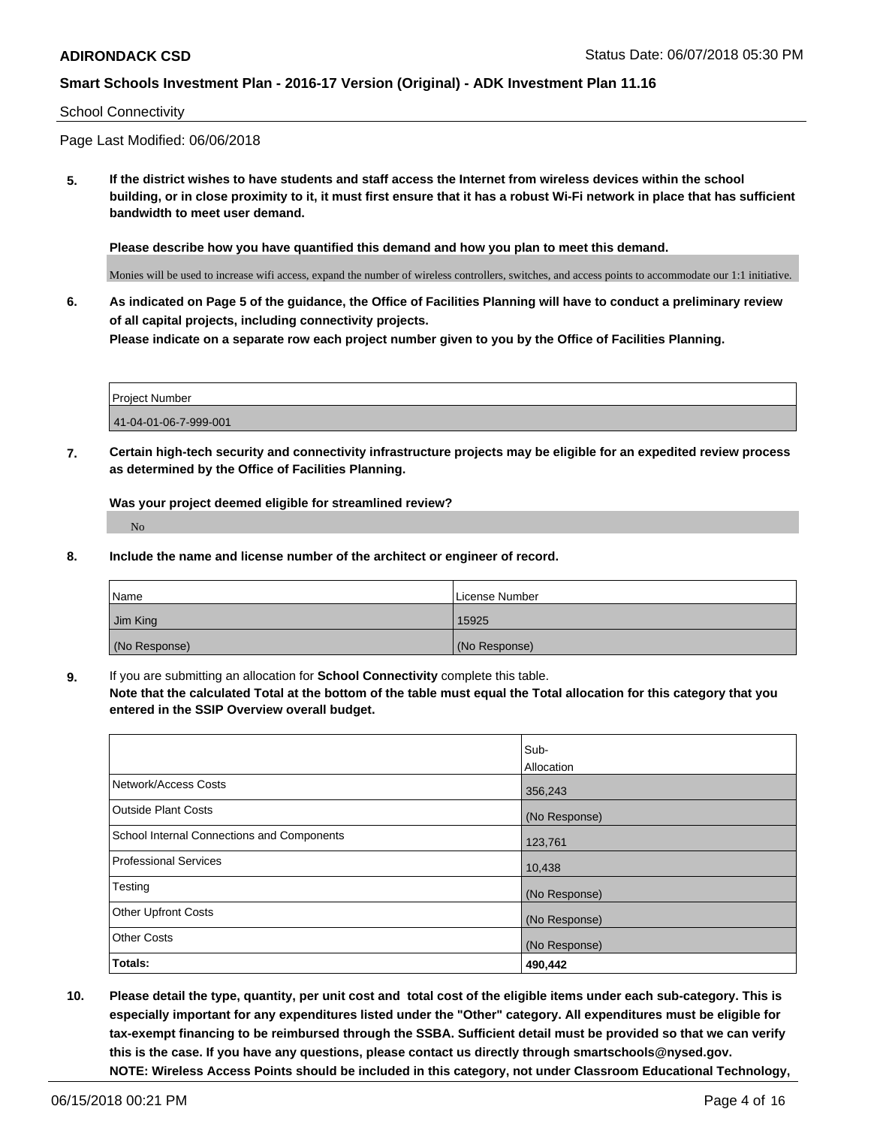#### School Connectivity

Page Last Modified: 06/06/2018

**5. If the district wishes to have students and staff access the Internet from wireless devices within the school building, or in close proximity to it, it must first ensure that it has a robust Wi-Fi network in place that has sufficient bandwidth to meet user demand.**

**Please describe how you have quantified this demand and how you plan to meet this demand.**

Monies will be used to increase wifi access, expand the number of wireless controllers, switches, and access points to accommodate our 1:1 initiative.

**6. As indicated on Page 5 of the guidance, the Office of Facilities Planning will have to conduct a preliminary review of all capital projects, including connectivity projects. Please indicate on a separate row each project number given to you by the Office of Facilities Planning.**

| Project Number        |  |
|-----------------------|--|
| 41-04-01-06-7-999-001 |  |

**7. Certain high-tech security and connectivity infrastructure projects may be eligible for an expedited review process as determined by the Office of Facilities Planning.**

**Was your project deemed eligible for streamlined review?**

No

**8. Include the name and license number of the architect or engineer of record.**

| Name          | License Number |
|---------------|----------------|
| Jim King      | 15925          |
| (No Response) | (No Response)  |

**9.** If you are submitting an allocation for **School Connectivity** complete this table.

**Note that the calculated Total at the bottom of the table must equal the Total allocation for this category that you entered in the SSIP Overview overall budget.** 

|                                            | Sub-          |
|--------------------------------------------|---------------|
|                                            | Allocation    |
| Network/Access Costs                       | 356,243       |
| <b>Outside Plant Costs</b>                 | (No Response) |
| School Internal Connections and Components | 123,761       |
| Professional Services                      | 10,438        |
| Testing                                    | (No Response) |
| <b>Other Upfront Costs</b>                 | (No Response) |
| <b>Other Costs</b>                         | (No Response) |
| Totals:                                    | 490,442       |

**10. Please detail the type, quantity, per unit cost and total cost of the eligible items under each sub-category. This is especially important for any expenditures listed under the "Other" category. All expenditures must be eligible for tax-exempt financing to be reimbursed through the SSBA. Sufficient detail must be provided so that we can verify this is the case. If you have any questions, please contact us directly through smartschools@nysed.gov. NOTE: Wireless Access Points should be included in this category, not under Classroom Educational Technology,**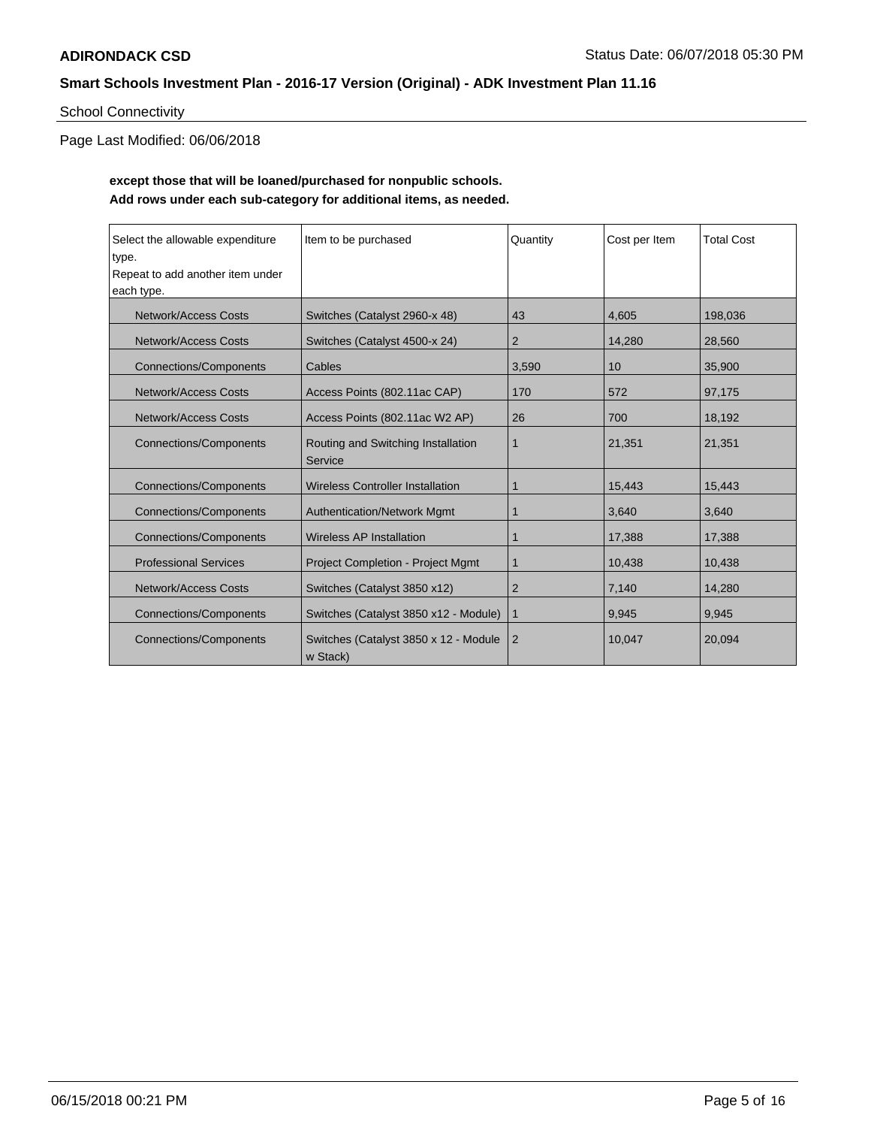# School Connectivity

Page Last Modified: 06/06/2018

## **except those that will be loaned/purchased for nonpublic schools. Add rows under each sub-category for additional items, as needed.**

| Select the allowable expenditure<br>type.<br>Repeat to add another item under<br>each type. | Item to be purchased                              | Quantity       | Cost per Item | <b>Total Cost</b> |
|---------------------------------------------------------------------------------------------|---------------------------------------------------|----------------|---------------|-------------------|
| <b>Network/Access Costs</b>                                                                 | Switches (Catalyst 2960-x 48)                     | 43             | 4,605         | 198,036           |
| Network/Access Costs                                                                        | Switches (Catalyst 4500-x 24)                     | 2              | 14,280        | 28,560            |
| <b>Connections/Components</b>                                                               | Cables                                            | 3,590          | 10            | 35,900            |
| Network/Access Costs                                                                        | Access Points (802.11ac CAP)                      | 170            | 572           | 97,175            |
| <b>Network/Access Costs</b>                                                                 | Access Points (802.11ac W2 AP)                    | 26             | 700           | 18,192            |
| <b>Connections/Components</b>                                                               | Routing and Switching Installation<br>Service     | $\mathbf 1$    | 21,351        | 21,351            |
| <b>Connections/Components</b>                                                               | <b>Wireless Controller Installation</b>           | $\mathbf 1$    | 15,443        | 15,443            |
| <b>Connections/Components</b>                                                               | <b>Authentication/Network Mgmt</b>                | 1              | 3,640         | 3,640             |
| <b>Connections/Components</b>                                                               | <b>Wireless AP Installation</b>                   | $\mathbf 1$    | 17,388        | 17,388            |
| <b>Professional Services</b>                                                                | <b>Project Completion - Project Mgmt</b>          | $\mathbf 1$    | 10,438        | 10,438            |
| Network/Access Costs                                                                        | Switches (Catalyst 3850 x12)                      | $\overline{2}$ | 7,140         | 14,280            |
| <b>Connections/Components</b>                                                               | Switches (Catalyst 3850 x12 - Module)             | $\mathbf{1}$   | 9,945         | 9,945             |
| <b>Connections/Components</b>                                                               | Switches (Catalyst 3850 x 12 - Module<br>w Stack) | $\overline{2}$ | 10,047        | 20,094            |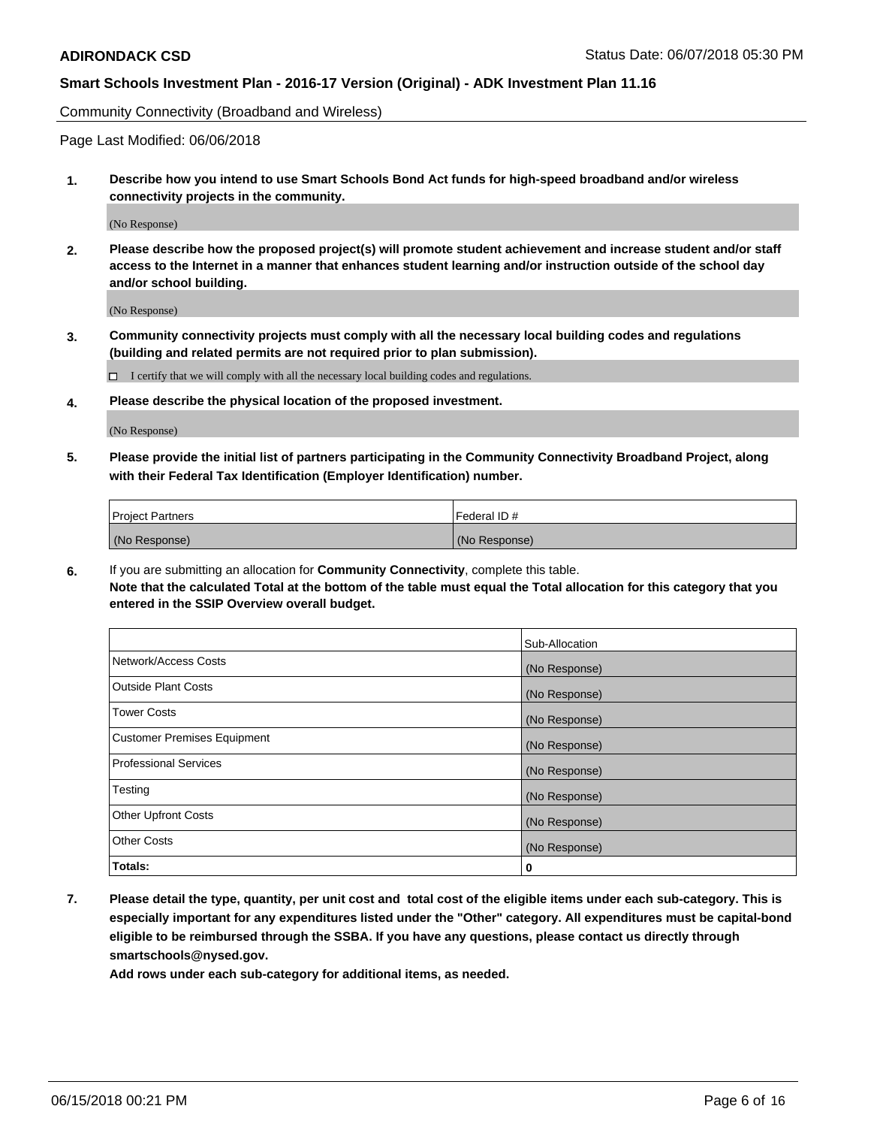Community Connectivity (Broadband and Wireless)

Page Last Modified: 06/06/2018

**1. Describe how you intend to use Smart Schools Bond Act funds for high-speed broadband and/or wireless connectivity projects in the community.**

(No Response)

**2. Please describe how the proposed project(s) will promote student achievement and increase student and/or staff access to the Internet in a manner that enhances student learning and/or instruction outside of the school day and/or school building.**

(No Response)

**3. Community connectivity projects must comply with all the necessary local building codes and regulations (building and related permits are not required prior to plan submission).**

 $\Box$  I certify that we will comply with all the necessary local building codes and regulations.

**4. Please describe the physical location of the proposed investment.**

(No Response)

**5. Please provide the initial list of partners participating in the Community Connectivity Broadband Project, along with their Federal Tax Identification (Employer Identification) number.**

| <b>Project Partners</b> | Federal ID#   |
|-------------------------|---------------|
| (No Response)           | (No Response) |

**6.** If you are submitting an allocation for **Community Connectivity**, complete this table. **Note that the calculated Total at the bottom of the table must equal the Total allocation for this category that you entered in the SSIP Overview overall budget.**

|                                    | Sub-Allocation |
|------------------------------------|----------------|
| Network/Access Costs               | (No Response)  |
| Outside Plant Costs                | (No Response)  |
| <b>Tower Costs</b>                 | (No Response)  |
| <b>Customer Premises Equipment</b> | (No Response)  |
| Professional Services              | (No Response)  |
| Testing                            | (No Response)  |
| <b>Other Upfront Costs</b>         | (No Response)  |
| <b>Other Costs</b>                 | (No Response)  |
| Totals:                            | 0              |

**7. Please detail the type, quantity, per unit cost and total cost of the eligible items under each sub-category. This is especially important for any expenditures listed under the "Other" category. All expenditures must be capital-bond eligible to be reimbursed through the SSBA. If you have any questions, please contact us directly through smartschools@nysed.gov.**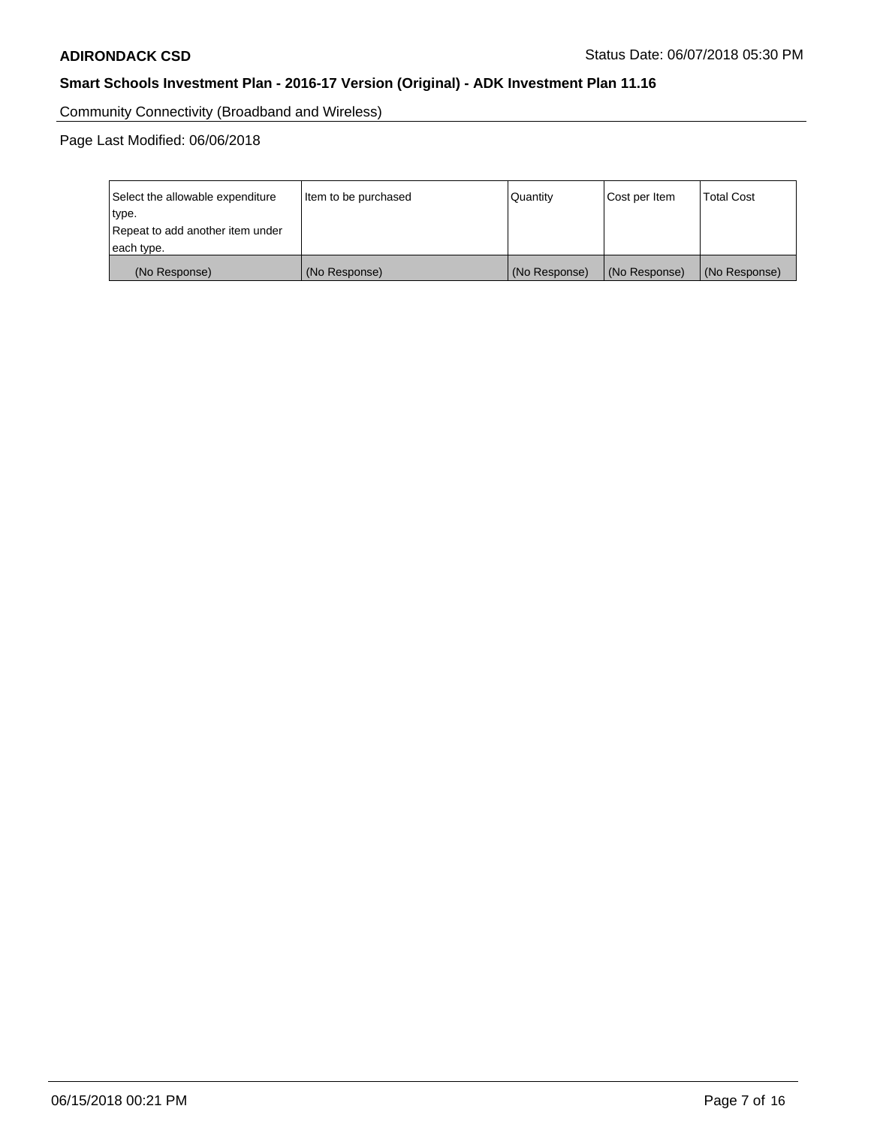Community Connectivity (Broadband and Wireless)

Page Last Modified: 06/06/2018

| Select the allowable expenditure<br>type.<br>Repeat to add another item under | Item to be purchased<br> Quantity |               | Cost per Item | <b>Total Cost</b> |
|-------------------------------------------------------------------------------|-----------------------------------|---------------|---------------|-------------------|
| each type.                                                                    |                                   |               |               |                   |
| (No Response)                                                                 | (No Response)                     | (No Response) | (No Response) | (No Response)     |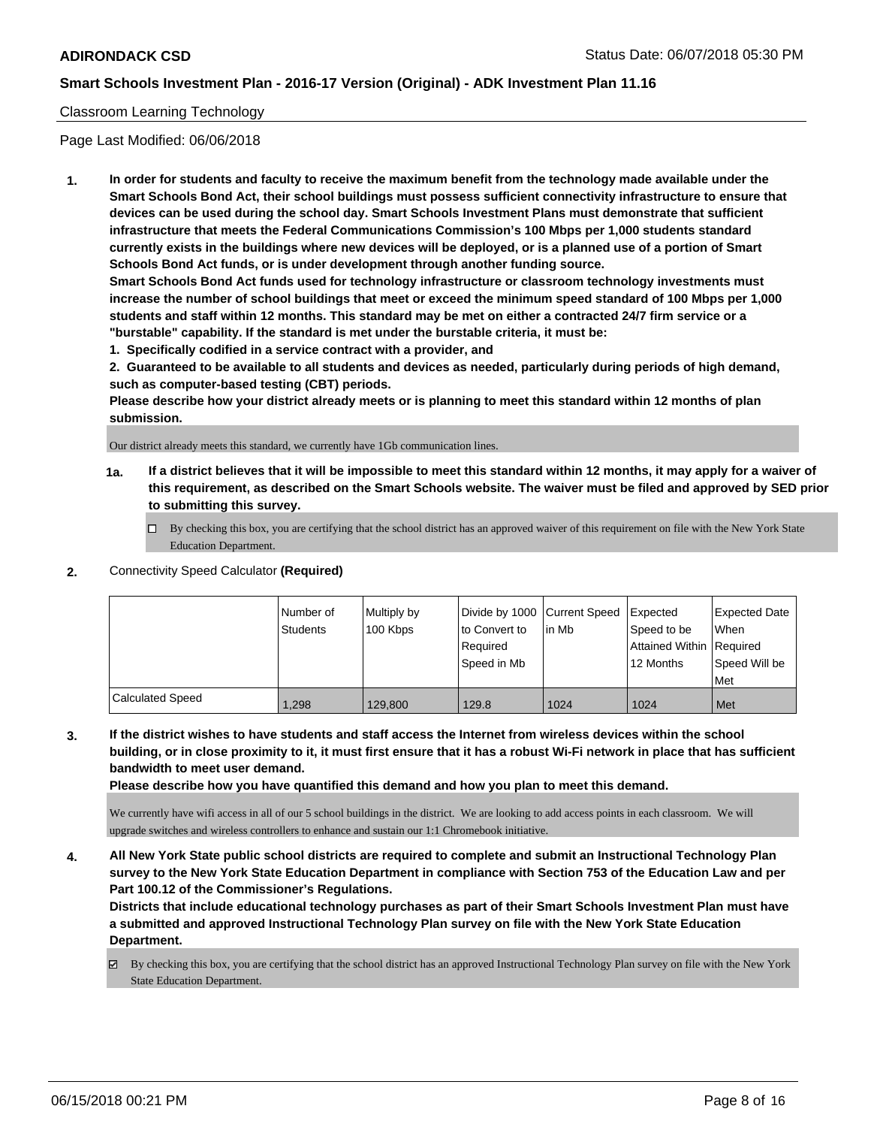### Classroom Learning Technology

Page Last Modified: 06/06/2018

**1. In order for students and faculty to receive the maximum benefit from the technology made available under the Smart Schools Bond Act, their school buildings must possess sufficient connectivity infrastructure to ensure that devices can be used during the school day. Smart Schools Investment Plans must demonstrate that sufficient infrastructure that meets the Federal Communications Commission's 100 Mbps per 1,000 students standard currently exists in the buildings where new devices will be deployed, or is a planned use of a portion of Smart Schools Bond Act funds, or is under development through another funding source.**

**Smart Schools Bond Act funds used for technology infrastructure or classroom technology investments must increase the number of school buildings that meet or exceed the minimum speed standard of 100 Mbps per 1,000 students and staff within 12 months. This standard may be met on either a contracted 24/7 firm service or a "burstable" capability. If the standard is met under the burstable criteria, it must be:**

**1. Specifically codified in a service contract with a provider, and**

**2. Guaranteed to be available to all students and devices as needed, particularly during periods of high demand, such as computer-based testing (CBT) periods.**

**Please describe how your district already meets or is planning to meet this standard within 12 months of plan submission.**

Our district already meets this standard, we currently have 1Gb communication lines.

- **1a. If a district believes that it will be impossible to meet this standard within 12 months, it may apply for a waiver of this requirement, as described on the Smart Schools website. The waiver must be filed and approved by SED prior to submitting this survey.**
	- By checking this box, you are certifying that the school district has an approved waiver of this requirement on file with the New York State Education Department.
- **2.** Connectivity Speed Calculator **(Required)**

|                  | Number of<br><b>Students</b> | Multiply by<br>100 Kbps | Divide by 1000 Current Speed<br>to Convert to<br>Reauired<br>Speed in Mb | l in Mb | Expected<br>Speed to be<br>Attained Within   Required<br>12 Months | <b>Expected Date</b><br><b>When</b><br>Speed Will be<br>Met |
|------------------|------------------------------|-------------------------|--------------------------------------------------------------------------|---------|--------------------------------------------------------------------|-------------------------------------------------------------|
| Calculated Speed | 1,298                        | 129,800                 | 129.8                                                                    | 1024    | 1024                                                               | Met                                                         |

**3. If the district wishes to have students and staff access the Internet from wireless devices within the school building, or in close proximity to it, it must first ensure that it has a robust Wi-Fi network in place that has sufficient bandwidth to meet user demand.**

**Please describe how you have quantified this demand and how you plan to meet this demand.**

We currently have wifi access in all of our 5 school buildings in the district. We are looking to add access points in each classroom. We will upgrade switches and wireless controllers to enhance and sustain our 1:1 Chromebook initiative.

**4. All New York State public school districts are required to complete and submit an Instructional Technology Plan survey to the New York State Education Department in compliance with Section 753 of the Education Law and per Part 100.12 of the Commissioner's Regulations.**

**Districts that include educational technology purchases as part of their Smart Schools Investment Plan must have a submitted and approved Instructional Technology Plan survey on file with the New York State Education Department.**

By checking this box, you are certifying that the school district has an approved Instructional Technology Plan survey on file with the New York State Education Department.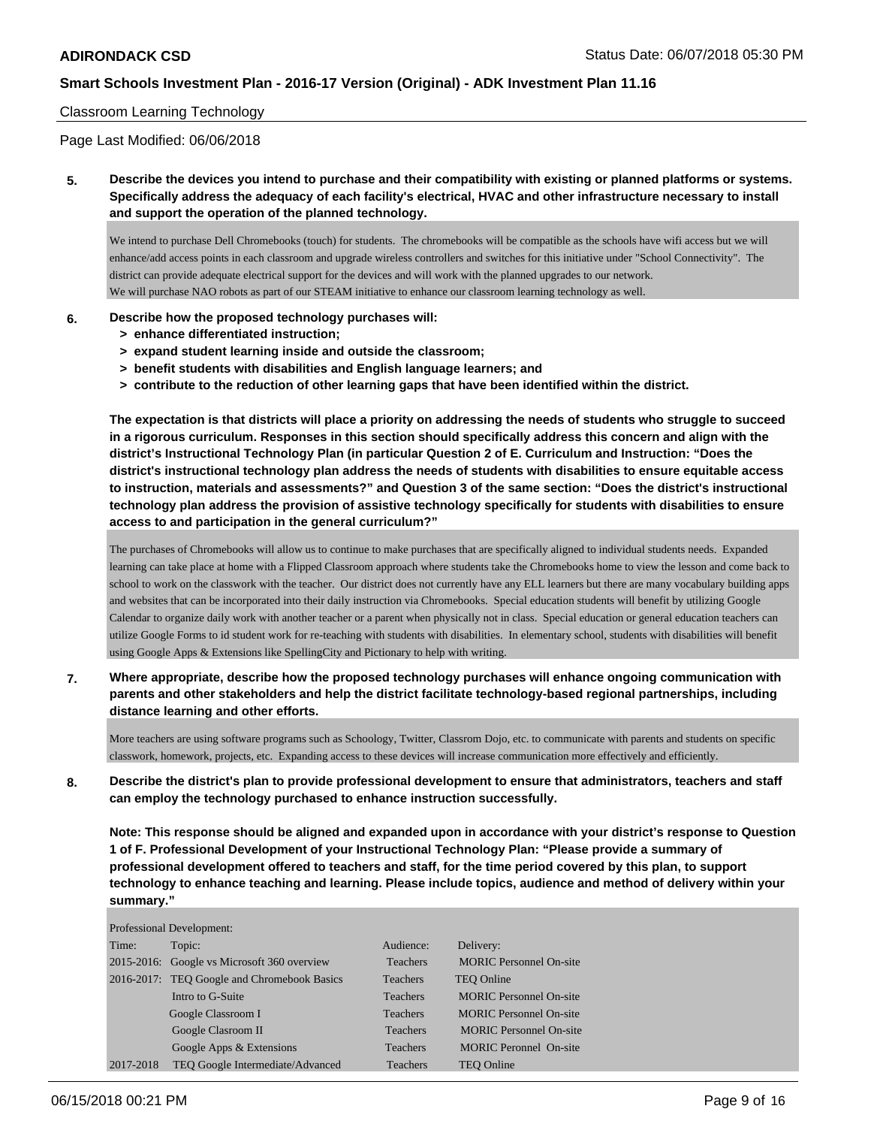#### Classroom Learning Technology

Page Last Modified: 06/06/2018

**5. Describe the devices you intend to purchase and their compatibility with existing or planned platforms or systems. Specifically address the adequacy of each facility's electrical, HVAC and other infrastructure necessary to install and support the operation of the planned technology.**

We intend to purchase Dell Chromebooks (touch) for students. The chromebooks will be compatible as the schools have wifi access but we will enhance/add access points in each classroom and upgrade wireless controllers and switches for this initiative under "School Connectivity". The district can provide adequate electrical support for the devices and will work with the planned upgrades to our network. We will purchase NAO robots as part of our STEAM initiative to enhance our classroom learning technology as well.

#### **6. Describe how the proposed technology purchases will:**

- **> enhance differentiated instruction;**
- **> expand student learning inside and outside the classroom;**
- **> benefit students with disabilities and English language learners; and**
- **> contribute to the reduction of other learning gaps that have been identified within the district.**

**The expectation is that districts will place a priority on addressing the needs of students who struggle to succeed in a rigorous curriculum. Responses in this section should specifically address this concern and align with the district's Instructional Technology Plan (in particular Question 2 of E. Curriculum and Instruction: "Does the district's instructional technology plan address the needs of students with disabilities to ensure equitable access to instruction, materials and assessments?" and Question 3 of the same section: "Does the district's instructional technology plan address the provision of assistive technology specifically for students with disabilities to ensure access to and participation in the general curriculum?"**

The purchases of Chromebooks will allow us to continue to make purchases that are specifically aligned to individual students needs. Expanded learning can take place at home with a Flipped Classroom approach where students take the Chromebooks home to view the lesson and come back to school to work on the classwork with the teacher. Our district does not currently have any ELL learners but there are many vocabulary building apps and websites that can be incorporated into their daily instruction via Chromebooks. Special education students will benefit by utilizing Google Calendar to organize daily work with another teacher or a parent when physically not in class. Special education or general education teachers can utilize Google Forms to id student work for re-teaching with students with disabilities. In elementary school, students with disabilities will benefit using Google Apps & Extensions like SpellingCity and Pictionary to help with writing.

**7. Where appropriate, describe how the proposed technology purchases will enhance ongoing communication with parents and other stakeholders and help the district facilitate technology-based regional partnerships, including distance learning and other efforts.**

More teachers are using software programs such as Schoology, Twitter, Classrom Dojo, etc. to communicate with parents and students on specific classwork, homework, projects, etc. Expanding access to these devices will increase communication more effectively and efficiently.

**8. Describe the district's plan to provide professional development to ensure that administrators, teachers and staff can employ the technology purchased to enhance instruction successfully.**

**Note: This response should be aligned and expanded upon in accordance with your district's response to Question 1 of F. Professional Development of your Instructional Technology Plan: "Please provide a summary of professional development offered to teachers and staff, for the time period covered by this plan, to support technology to enhance teaching and learning. Please include topics, audience and method of delivery within your summary."**

|           | Professional Development:                   |                 |                                |
|-----------|---------------------------------------------|-----------------|--------------------------------|
| Time:     | Topic:                                      | Audience:       | Delivery:                      |
|           | 2015-2016: Google vs Microsoft 360 overview | Teachers        | <b>MORIC Personnel On-site</b> |
|           | 2016-2017: TEO Google and Chromebook Basics | <b>Teachers</b> | TEO Online                     |
|           | Intro to G-Suite                            | Teachers        | <b>MORIC</b> Personnel On-site |
|           | Google Classroom I                          | <b>Teachers</b> | <b>MORIC Personnel On-site</b> |
|           | Google Clasroom II                          | Teachers        | <b>MORIC Personnel On-site</b> |
|           | Google Apps & Extensions                    | <b>Teachers</b> | <b>MORIC Peronnel On-site</b>  |
| 2017-2018 | TEO Google Intermediate/Advanced            | Teachers        | TEO Online                     |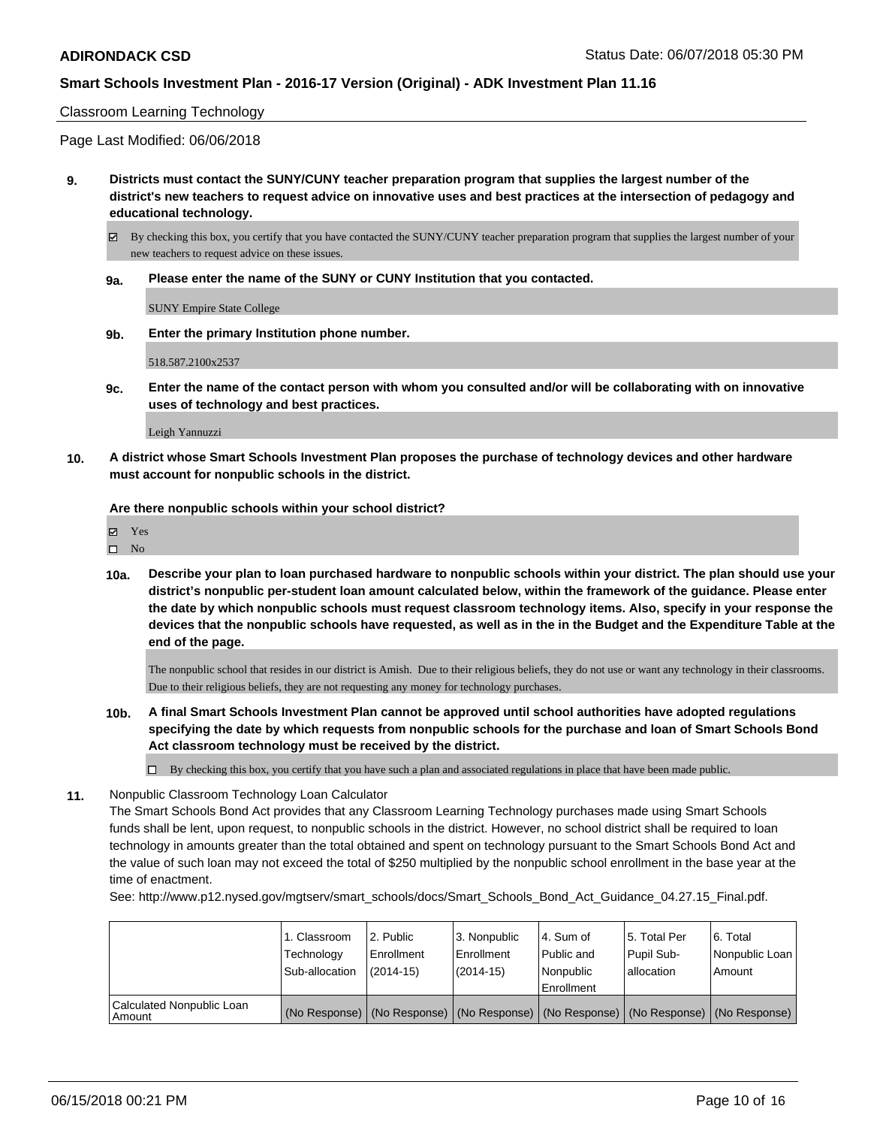#### Classroom Learning Technology

Page Last Modified: 06/06/2018

- **9. Districts must contact the SUNY/CUNY teacher preparation program that supplies the largest number of the district's new teachers to request advice on innovative uses and best practices at the intersection of pedagogy and educational technology.**
	- $\boxtimes$  By checking this box, you certify that you have contacted the SUNY/CUNY teacher preparation program that supplies the largest number of your new teachers to request advice on these issues.
	- **9a. Please enter the name of the SUNY or CUNY Institution that you contacted.**

SUNY Empire State College

**9b. Enter the primary Institution phone number.**

518.587.2100x2537

**9c. Enter the name of the contact person with whom you consulted and/or will be collaborating with on innovative uses of technology and best practices.**

Leigh Yannuzzi

**10. A district whose Smart Schools Investment Plan proposes the purchase of technology devices and other hardware must account for nonpublic schools in the district.**

**Are there nonpublic schools within your school district?**

| ᢦ | es |
|---|----|
|   |    |

**10a. Describe your plan to loan purchased hardware to nonpublic schools within your district. The plan should use your district's nonpublic per-student loan amount calculated below, within the framework of the guidance. Please enter the date by which nonpublic schools must request classroom technology items. Also, specify in your response the devices that the nonpublic schools have requested, as well as in the in the Budget and the Expenditure Table at the end of the page.**

The nonpublic school that resides in our district is Amish. Due to their religious beliefs, they do not use or want any technology in their classrooms. Due to their religious beliefs, they are not requesting any money for technology purchases.

- **10b. A final Smart Schools Investment Plan cannot be approved until school authorities have adopted regulations specifying the date by which requests from nonpublic schools for the purchase and loan of Smart Schools Bond Act classroom technology must be received by the district.**
	- $\Box$  By checking this box, you certify that you have such a plan and associated regulations in place that have been made public.
- **11.** Nonpublic Classroom Technology Loan Calculator

The Smart Schools Bond Act provides that any Classroom Learning Technology purchases made using Smart Schools funds shall be lent, upon request, to nonpublic schools in the district. However, no school district shall be required to loan technology in amounts greater than the total obtained and spent on technology pursuant to the Smart Schools Bond Act and the value of such loan may not exceed the total of \$250 multiplied by the nonpublic school enrollment in the base year at the time of enactment.

See: http://www.p12.nysed.gov/mgtserv/smart\_schools/docs/Smart\_Schools\_Bond\_Act\_Guidance\_04.27.15\_Final.pdf.

|                                     | 1. Classroom<br>Technology<br>Sub-allocation | 2. Public<br>Enrollment<br>$(2014-15)$ | 3. Nonpublic<br>Enrollment<br>(2014-15) | l 4. Sum of<br>Public and<br>Nonpublic<br>Enrollment                                          | 15. Total Per<br>Pupil Sub-<br>l allocation | l 6. Total<br>Nonpublic Loan<br>Amount |
|-------------------------------------|----------------------------------------------|----------------------------------------|-----------------------------------------|-----------------------------------------------------------------------------------------------|---------------------------------------------|----------------------------------------|
| Calculated Nonpublic Loan<br>Amount |                                              |                                        |                                         | (No Response)   (No Response)   (No Response)   (No Response)   (No Response)   (No Response) |                                             |                                        |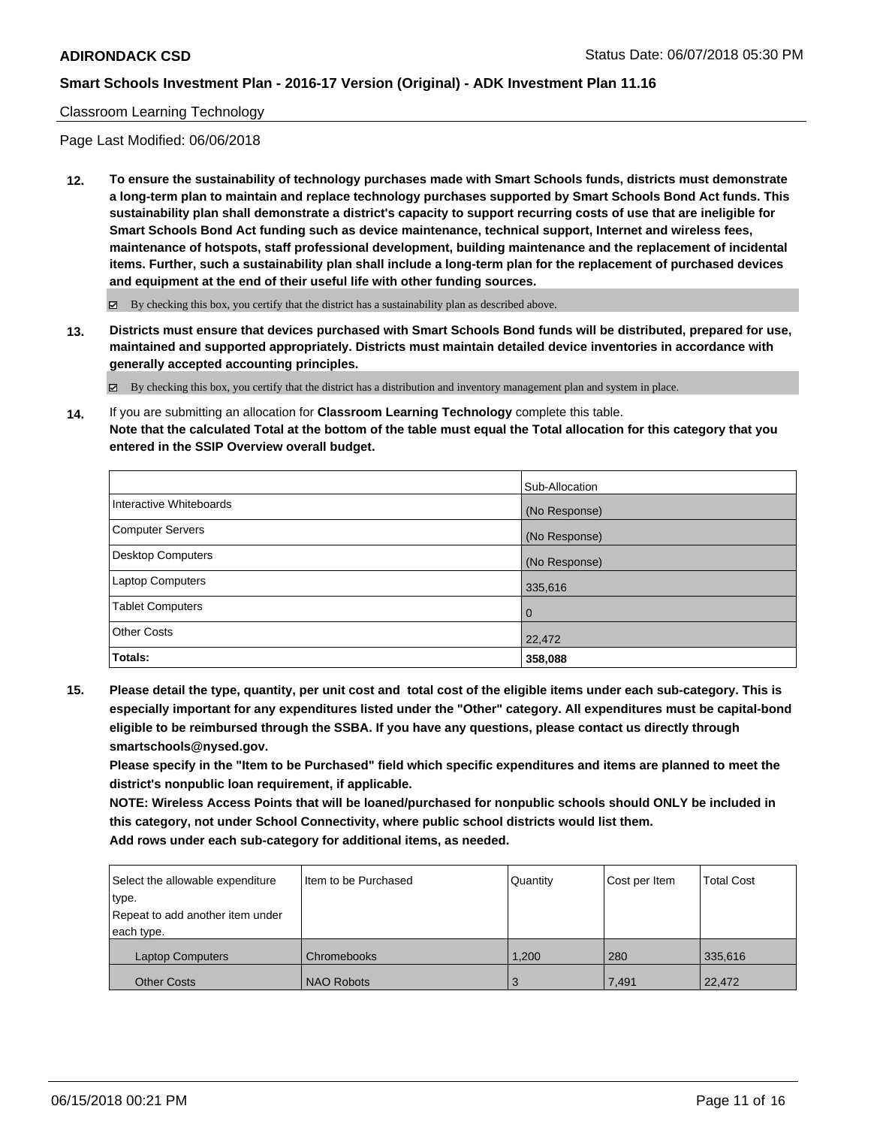#### Classroom Learning Technology

Page Last Modified: 06/06/2018

**12. To ensure the sustainability of technology purchases made with Smart Schools funds, districts must demonstrate a long-term plan to maintain and replace technology purchases supported by Smart Schools Bond Act funds. This sustainability plan shall demonstrate a district's capacity to support recurring costs of use that are ineligible for Smart Schools Bond Act funding such as device maintenance, technical support, Internet and wireless fees, maintenance of hotspots, staff professional development, building maintenance and the replacement of incidental items. Further, such a sustainability plan shall include a long-term plan for the replacement of purchased devices and equipment at the end of their useful life with other funding sources.**

 $\boxtimes$  By checking this box, you certify that the district has a sustainability plan as described above.

**13. Districts must ensure that devices purchased with Smart Schools Bond funds will be distributed, prepared for use, maintained and supported appropriately. Districts must maintain detailed device inventories in accordance with generally accepted accounting principles.**

By checking this box, you certify that the district has a distribution and inventory management plan and system in place.

**14.** If you are submitting an allocation for **Classroom Learning Technology** complete this table. **Note that the calculated Total at the bottom of the table must equal the Total allocation for this category that you entered in the SSIP Overview overall budget.**

|                          | Sub-Allocation |
|--------------------------|----------------|
| Interactive Whiteboards  | (No Response)  |
| Computer Servers         | (No Response)  |
| <b>Desktop Computers</b> | (No Response)  |
| Laptop Computers         | 335,616        |
| <b>Tablet Computers</b>  | $\overline{0}$ |
| <b>Other Costs</b>       | 22,472         |
| Totals:                  | 358,088        |

**15. Please detail the type, quantity, per unit cost and total cost of the eligible items under each sub-category. This is especially important for any expenditures listed under the "Other" category. All expenditures must be capital-bond eligible to be reimbursed through the SSBA. If you have any questions, please contact us directly through smartschools@nysed.gov.**

**Please specify in the "Item to be Purchased" field which specific expenditures and items are planned to meet the district's nonpublic loan requirement, if applicable.**

**NOTE: Wireless Access Points that will be loaned/purchased for nonpublic schools should ONLY be included in this category, not under School Connectivity, where public school districts would list them. Add rows under each sub-category for additional items, as needed.**

| Select the allowable expenditure | Item to be Purchased | Quantity | Cost per Item | <b>Total Cost</b> |
|----------------------------------|----------------------|----------|---------------|-------------------|
| type.                            |                      |          |               |                   |
| Repeat to add another item under |                      |          |               |                   |
| each type.                       |                      |          |               |                   |
| <b>Laptop Computers</b>          | Chromebooks          | 1.200    | 280           | 335,616           |
| <b>Other Costs</b>               | <b>NAO Robots</b>    | 3        | 7.491         | 22,472            |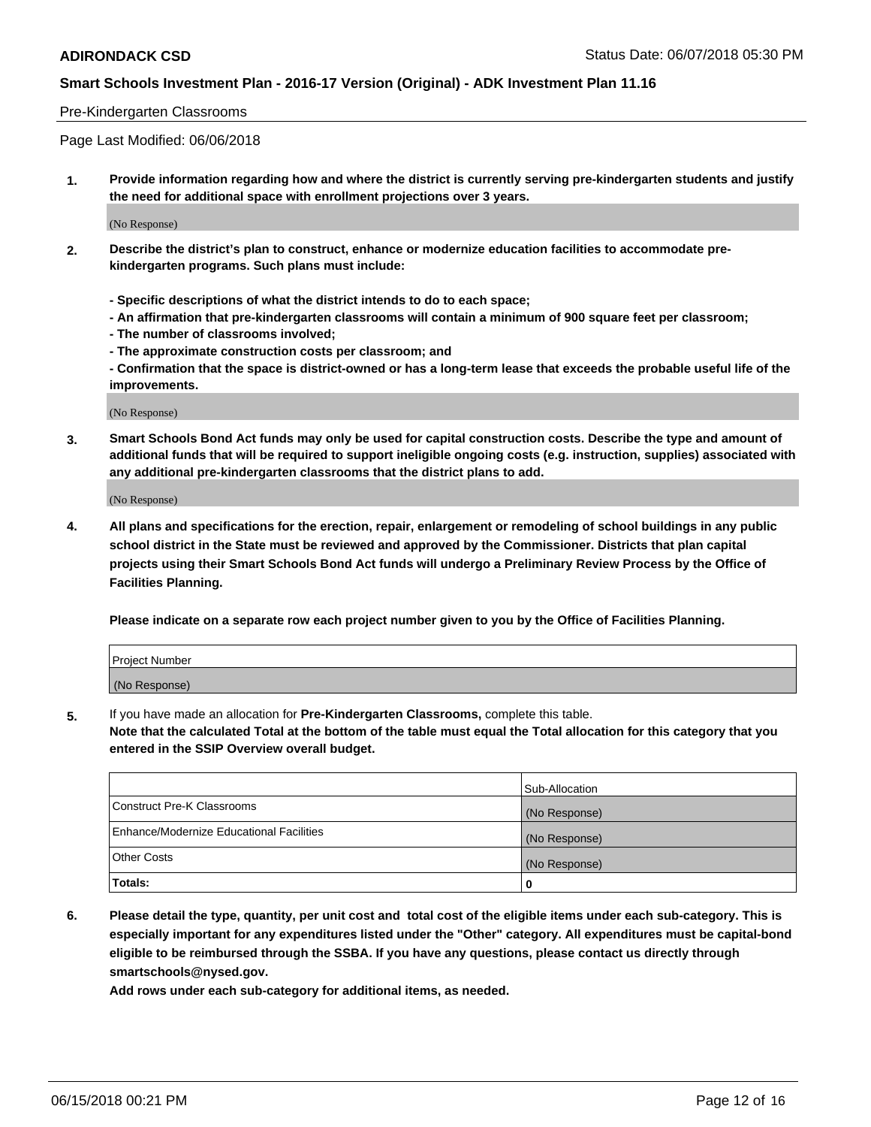#### Pre-Kindergarten Classrooms

Page Last Modified: 06/06/2018

**1. Provide information regarding how and where the district is currently serving pre-kindergarten students and justify the need for additional space with enrollment projections over 3 years.**

(No Response)

- **2. Describe the district's plan to construct, enhance or modernize education facilities to accommodate prekindergarten programs. Such plans must include:**
	- **Specific descriptions of what the district intends to do to each space;**
	- **An affirmation that pre-kindergarten classrooms will contain a minimum of 900 square feet per classroom;**
	- **The number of classrooms involved;**
	- **The approximate construction costs per classroom; and**
	- **Confirmation that the space is district-owned or has a long-term lease that exceeds the probable useful life of the improvements.**

(No Response)

**3. Smart Schools Bond Act funds may only be used for capital construction costs. Describe the type and amount of additional funds that will be required to support ineligible ongoing costs (e.g. instruction, supplies) associated with any additional pre-kindergarten classrooms that the district plans to add.**

(No Response)

**4. All plans and specifications for the erection, repair, enlargement or remodeling of school buildings in any public school district in the State must be reviewed and approved by the Commissioner. Districts that plan capital projects using their Smart Schools Bond Act funds will undergo a Preliminary Review Process by the Office of Facilities Planning.**

**Please indicate on a separate row each project number given to you by the Office of Facilities Planning.**

| Project Number |  |
|----------------|--|
| (No Response)  |  |

**5.** If you have made an allocation for **Pre-Kindergarten Classrooms,** complete this table.

**Note that the calculated Total at the bottom of the table must equal the Total allocation for this category that you entered in the SSIP Overview overall budget.**

|                                          | Sub-Allocation |
|------------------------------------------|----------------|
| Construct Pre-K Classrooms               | (No Response)  |
| Enhance/Modernize Educational Facilities | (No Response)  |
| Other Costs                              | (No Response)  |
| Totals:                                  | 0              |

**6. Please detail the type, quantity, per unit cost and total cost of the eligible items under each sub-category. This is especially important for any expenditures listed under the "Other" category. All expenditures must be capital-bond eligible to be reimbursed through the SSBA. If you have any questions, please contact us directly through smartschools@nysed.gov.**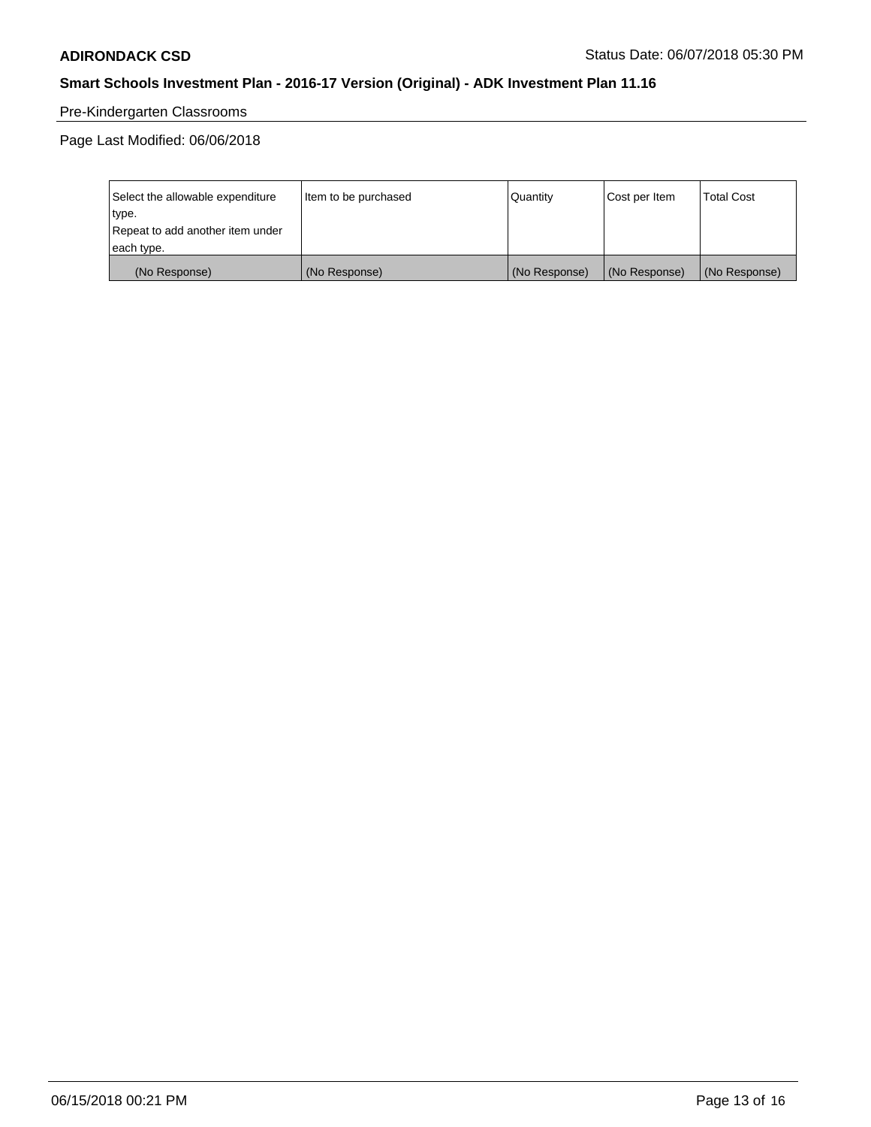# Pre-Kindergarten Classrooms

Page Last Modified: 06/06/2018

| Select the allowable expenditure | Item to be purchased | Quantity      | Cost per Item | <b>Total Cost</b> |
|----------------------------------|----------------------|---------------|---------------|-------------------|
| type.                            |                      |               |               |                   |
| Repeat to add another item under |                      |               |               |                   |
| each type.                       |                      |               |               |                   |
| (No Response)                    | (No Response)        | (No Response) | (No Response) | (No Response)     |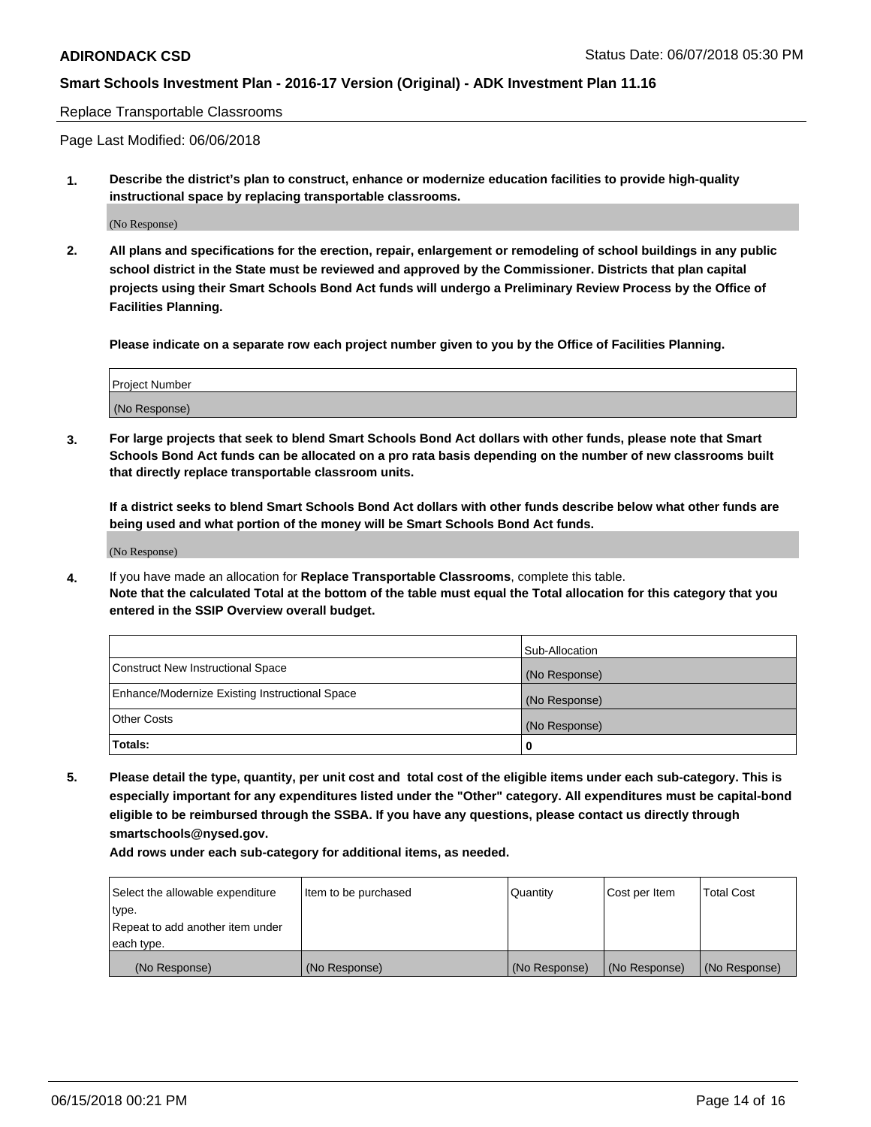#### Replace Transportable Classrooms

Page Last Modified: 06/06/2018

**1. Describe the district's plan to construct, enhance or modernize education facilities to provide high-quality instructional space by replacing transportable classrooms.**

(No Response)

**2. All plans and specifications for the erection, repair, enlargement or remodeling of school buildings in any public school district in the State must be reviewed and approved by the Commissioner. Districts that plan capital projects using their Smart Schools Bond Act funds will undergo a Preliminary Review Process by the Office of Facilities Planning.**

**Please indicate on a separate row each project number given to you by the Office of Facilities Planning.**

| <b>Project Number</b> |  |
|-----------------------|--|
| (No Response)         |  |

**3. For large projects that seek to blend Smart Schools Bond Act dollars with other funds, please note that Smart Schools Bond Act funds can be allocated on a pro rata basis depending on the number of new classrooms built that directly replace transportable classroom units.**

**If a district seeks to blend Smart Schools Bond Act dollars with other funds describe below what other funds are being used and what portion of the money will be Smart Schools Bond Act funds.**

(No Response)

**4.** If you have made an allocation for **Replace Transportable Classrooms**, complete this table. **Note that the calculated Total at the bottom of the table must equal the Total allocation for this category that you entered in the SSIP Overview overall budget.**

|                                                | Sub-Allocation |
|------------------------------------------------|----------------|
| Construct New Instructional Space              | (No Response)  |
| Enhance/Modernize Existing Instructional Space | (No Response)  |
| Other Costs                                    | (No Response)  |
| Totals:                                        | 0              |

**5. Please detail the type, quantity, per unit cost and total cost of the eligible items under each sub-category. This is especially important for any expenditures listed under the "Other" category. All expenditures must be capital-bond eligible to be reimbursed through the SSBA. If you have any questions, please contact us directly through smartschools@nysed.gov.**

| Select the allowable expenditure | Item to be purchased | Quantity      | Cost per Item | <b>Total Cost</b> |
|----------------------------------|----------------------|---------------|---------------|-------------------|
| type.                            |                      |               |               |                   |
| Repeat to add another item under |                      |               |               |                   |
| each type.                       |                      |               |               |                   |
| (No Response)                    | (No Response)        | (No Response) | (No Response) | (No Response)     |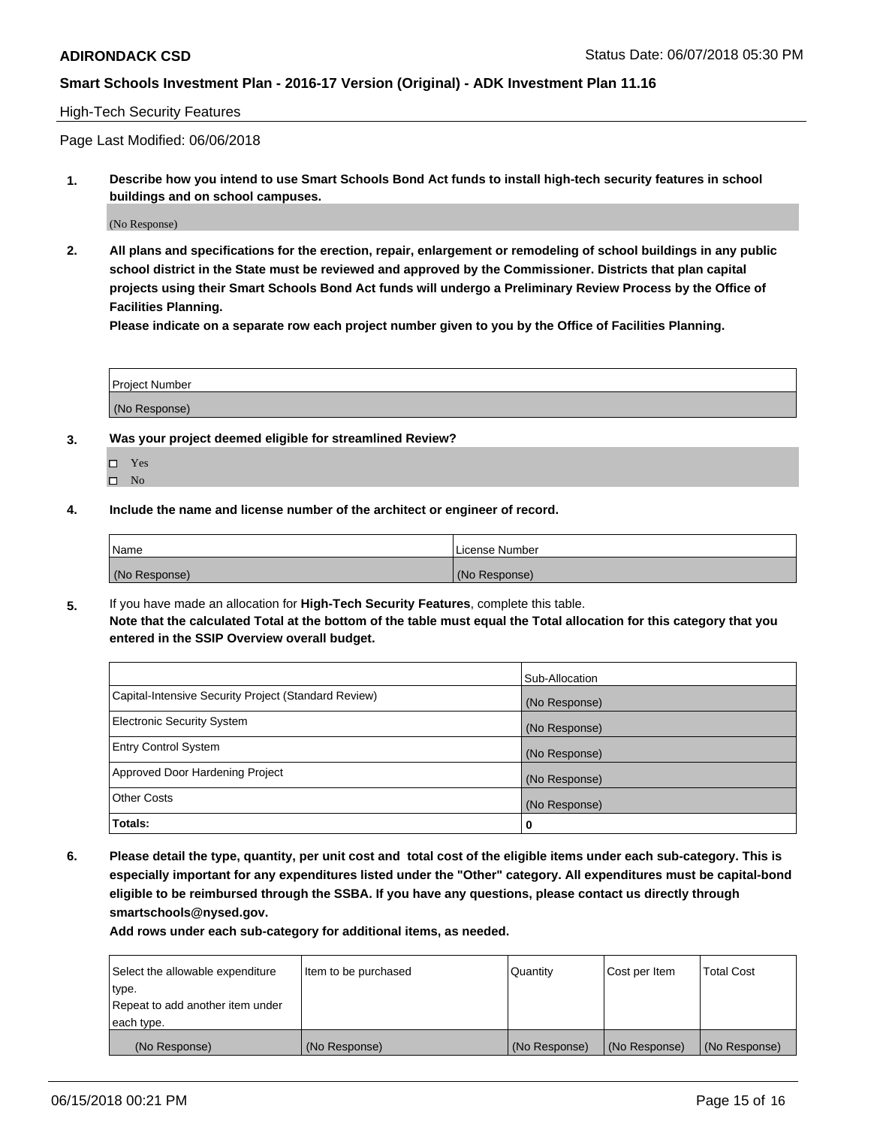#### High-Tech Security Features

Page Last Modified: 06/06/2018

**1. Describe how you intend to use Smart Schools Bond Act funds to install high-tech security features in school buildings and on school campuses.**

(No Response)

**2. All plans and specifications for the erection, repair, enlargement or remodeling of school buildings in any public school district in the State must be reviewed and approved by the Commissioner. Districts that plan capital projects using their Smart Schools Bond Act funds will undergo a Preliminary Review Process by the Office of Facilities Planning.** 

**Please indicate on a separate row each project number given to you by the Office of Facilities Planning.**

| <b>Project Number</b> |  |  |
|-----------------------|--|--|
|                       |  |  |
| (No Response)         |  |  |

- **3. Was your project deemed eligible for streamlined Review?**
	- Yes  $\square$  No
- **4. Include the name and license number of the architect or engineer of record.**

| l Name        | License Number |
|---------------|----------------|
| (No Response) | (No Response)  |

**5.** If you have made an allocation for **High-Tech Security Features**, complete this table. **Note that the calculated Total at the bottom of the table must equal the Total allocation for this category that you entered in the SSIP Overview overall budget.**

|                                                      | Sub-Allocation |
|------------------------------------------------------|----------------|
| Capital-Intensive Security Project (Standard Review) | (No Response)  |
| <b>Electronic Security System</b>                    | (No Response)  |
| <b>Entry Control System</b>                          | (No Response)  |
| Approved Door Hardening Project                      | (No Response)  |
| <b>Other Costs</b>                                   | (No Response)  |
| Totals:                                              | 0              |

**6. Please detail the type, quantity, per unit cost and total cost of the eligible items under each sub-category. This is especially important for any expenditures listed under the "Other" category. All expenditures must be capital-bond eligible to be reimbursed through the SSBA. If you have any questions, please contact us directly through smartschools@nysed.gov.**

| Select the allowable expenditure | Item to be purchased | Quantity      | Cost per Item | <b>Total Cost</b> |
|----------------------------------|----------------------|---------------|---------------|-------------------|
| type.                            |                      |               |               |                   |
| Repeat to add another item under |                      |               |               |                   |
| each type.                       |                      |               |               |                   |
| (No Response)                    | (No Response)        | (No Response) | (No Response) | (No Response)     |